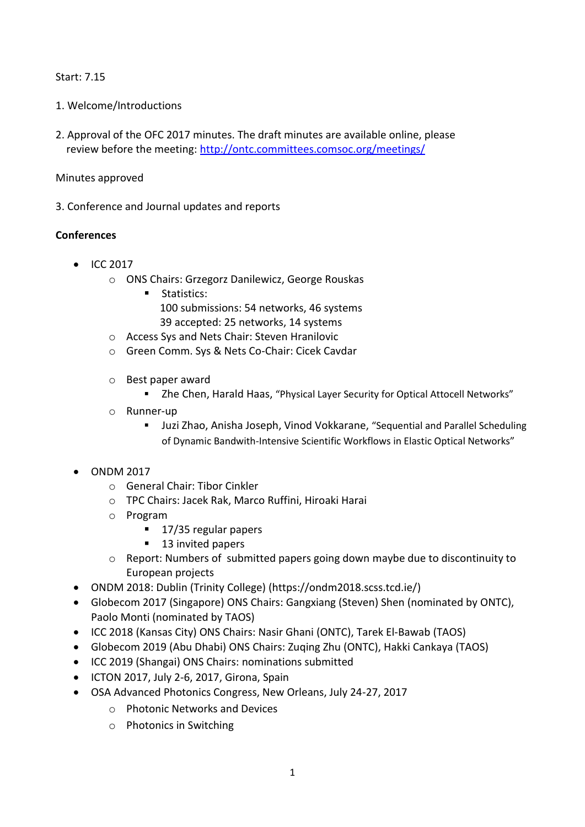#### Start: 7.15

- 1. Welcome/Introductions
- 2. Approval of the OFC 2017 minutes. The draft minutes are available online, please review before the meeting: <http://ontc.committees.comsoc.org/meetings/>

#### Minutes approved

3. Conference and Journal updates and reports

## **Conferences**

- $\bullet$  ICC 2017
	- o ONS Chairs: Grzegorz Danilewicz, George Rouskas
		- **Statistics:** 100 submissions: 54 networks, 46 systems 39 accepted: 25 networks, 14 systems
	- o Access Sys and Nets Chair: Steven Hranilovic
	- o Green Comm. Sys & Nets Co-Chair: Cicek Cavdar
	- o Best paper award
		- Zhe Chen, Harald Haas, "Physical Layer Security for Optical Attocell Networks"
	- o Runner-up
		- Juzi Zhao, Anisha Joseph, Vinod Vokkarane, "Sequential and Parallel Scheduling of Dynamic Bandwith-Intensive Scientific Workflows in Elastic Optical Networks"

## ONDM 2017

- o General Chair: Tibor Cinkler
- o TPC Chairs: Jacek Rak, Marco Ruffini, Hiroaki Harai
- o Program
	- 17/35 regular papers
	- 13 invited papers
- o Report: Numbers of submitted papers going down maybe due to discontinuity to European projects
- ONDM 2018: Dublin (Trinity College) (https://ondm2018.scss.tcd.ie/)
- Globecom 2017 (Singapore) ONS Chairs: Gangxiang (Steven) Shen (nominated by ONTC), Paolo Monti (nominated by TAOS)
- ICC 2018 (Kansas City) ONS Chairs: Nasir Ghani (ONTC), Tarek El-Bawab (TAOS)
- Globecom 2019 (Abu Dhabi) ONS Chairs: Zuqing Zhu (ONTC), Hakki Cankaya (TAOS)
- ICC 2019 (Shangai) ONS Chairs: nominations submitted
- $\bullet$  ICTON 2017, July 2-6, 2017, Girona, Spain
- OSA Advanced Photonics Congress, New Orleans, July 24-27, 2017
	- o Photonic Networks and Devices
	- o Photonics in Switching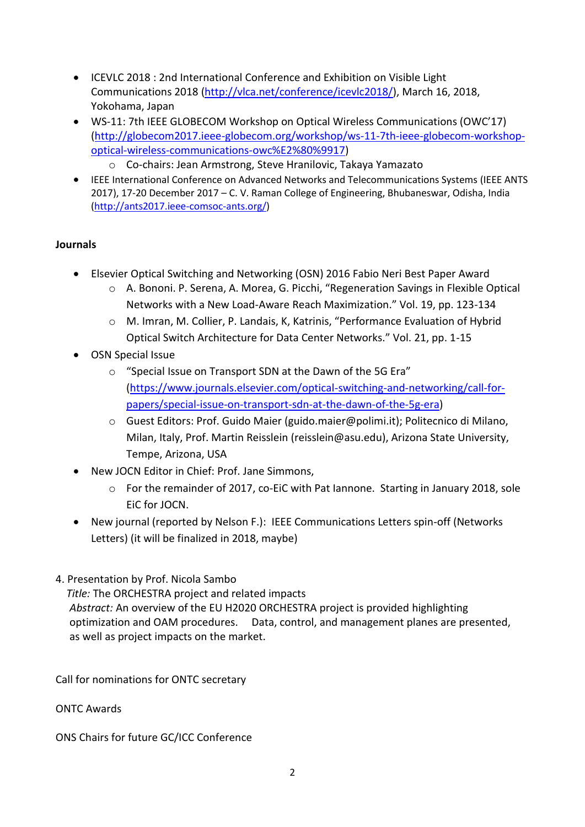- ICEVLC 2018 : 2nd International Conference and Exhibition on Visible Light Communications 2018 [\(http://vlca.net/conference/icevlc2018/\)](http://vlca.net/conference/icevlc2018/), March 16, 2018, Yokohama, Japan
- WS-11: 7th IEEE GLOBECOM Workshop on Optical Wireless Communications (OWC'17) [\(http://globecom2017.ieee-globecom.org/workshop/ws-11-7th-ieee-globecom-workshop](http://globecom2017.ieee-globecom.org/workshop/ws-11-7th-ieee-globecom-workshop-optical-wireless-communications-owc%E2%80%9917)[optical-wireless-communications-owc%E2%80%9917\)](http://globecom2017.ieee-globecom.org/workshop/ws-11-7th-ieee-globecom-workshop-optical-wireless-communications-owc%E2%80%9917)
	- o Co-chairs: Jean Armstrong, Steve Hranilovic, Takaya Yamazato
- IEEE International Conference on Advanced Networks and Telecommunications Systems (IEEE ANTS 2017), 17-20 December 2017 – C. V. Raman College of Engineering, Bhubaneswar, Odisha, India [\(http://ants2017.ieee-comsoc-ants.org/\)](http://ants2017.ieee-comsoc-ants.org/)

## **Journals**

- Elsevier Optical Switching and Networking (OSN) 2016 Fabio Neri Best Paper Award
	- o A. Bononi. P. Serena, A. Morea, G. Picchi, "Regeneration Savings in Flexible Optical Networks with a New Load-Aware Reach Maximization." Vol. 19, pp. 123-134
		- o M. Imran, M. Collier, P. Landais, K, Katrinis, "Performance Evaluation of Hybrid Optical Switch Architecture for Data Center Networks." Vol. 21, pp. 1-15
- OSN Special Issue
	- o "Special Issue on Transport SDN at the Dawn of the 5G Era" [\(https://www.journals.elsevier.com/optical-switching-and-networking/call-for](https://www.journals.elsevier.com/optical-switching-and-networking/call-for-papers/special-issue-on-transport-sdn-at-the-dawn-of-the-5g-era)[papers/special-issue-on-transport-sdn-at-the-dawn-of-the-5g-era\)](https://www.journals.elsevier.com/optical-switching-and-networking/call-for-papers/special-issue-on-transport-sdn-at-the-dawn-of-the-5g-era)
	- o Guest Editors: Prof. Guido Maier (guido.maier@polimi.it); Politecnico di Milano, Milan, Italy, Prof. Martin Reisslein (reisslein@asu.edu), Arizona State University, Tempe, Arizona, USA
- New JOCN Editor in Chief: Prof. Jane Simmons,
	- o For the remainder of 2017, co-EiC with Pat Iannone. Starting in January 2018, sole EiC for JOCN.
- New journal (reported by Nelson F.): IEEE Communications Letters spin-off (Networks Letters) (it will be finalized in 2018, maybe)
- 4. Presentation by Prof. Nicola Sambo

 *Title:* The ORCHESTRA project and related impacts *Abstract:* An overview of the EU H2020 ORCHESTRA project is provided highlighting optimization and OAM procedures. Data, control, and management planes are presented, as well as project impacts on the market.

Call for nominations for ONTC secretary

ONTC Awards

ONS Chairs for future GC/ICC Conference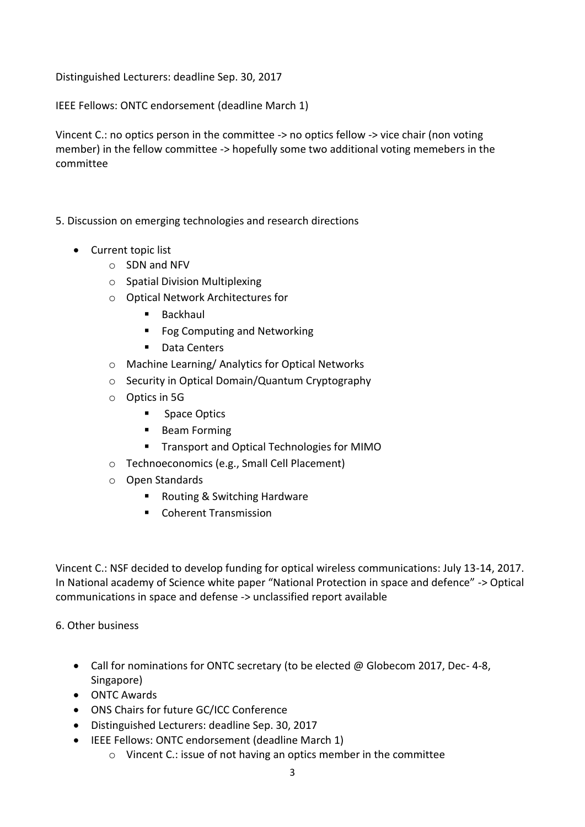Distinguished Lecturers: deadline Sep. 30, 2017

IEEE Fellows: ONTC endorsement (deadline March 1)

Vincent C.: no optics person in the committee -> no optics fellow -> vice chair (non voting member) in the fellow committee -> hopefully some two additional voting memebers in the committee

- 5. Discussion on emerging technologies and research directions
	- Current topic list
		- o SDN and NFV
		- o Spatial Division Multiplexing
		- o Optical Network Architectures for
			- Backhaul
			- Fog Computing and Networking
			- Data Centers
		- o Machine Learning/ Analytics for Optical Networks
		- o Security in Optical Domain/Quantum Cryptography
		- o Optics in 5G
			- **Space Optics**
			- **Beam Forming**
			- Transport and Optical Technologies for MIMO
		- o Technoeconomics (e.g., Small Cell Placement)
		- o Open Standards
			- Routing & Switching Hardware
			- Coherent Transmission

Vincent C.: NSF decided to develop funding for optical wireless communications: July 13-14, 2017. In National academy of Science white paper "National Protection in space and defence" -> Optical communications in space and defense -> unclassified report available

## 6. Other business

- Call for nominations for ONTC secretary (to be elected @ Globecom 2017, Dec-4-8, Singapore)
- ONTC Awards
- ONS Chairs for future GC/ICC Conference
- Distinguished Lecturers: deadline Sep. 30, 2017
- IEEE Fellows: ONTC endorsement (deadline March 1)
	- o Vincent C.: issue of not having an optics member in the committee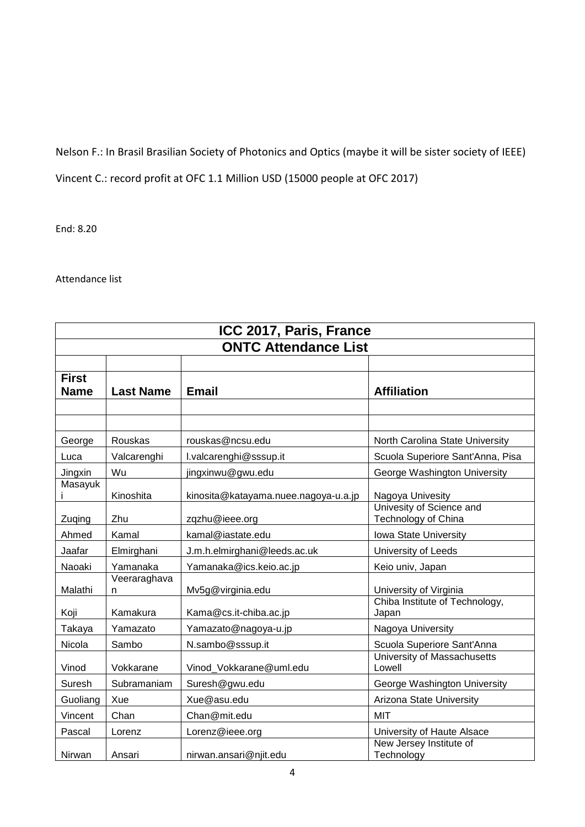# Nelson F.: In Brasil Brasilian Society of Photonics and Optics (maybe it will be sister society of IEEE)

Vincent C.: record profit at OFC 1.1 Million USD (15000 people at OFC 2017)

End: 8.20

Attendance list

| ICC 2017, Paris, France<br><b>ONTC Attendance List</b> |                   |                                      |                                              |  |
|--------------------------------------------------------|-------------------|--------------------------------------|----------------------------------------------|--|
|                                                        |                   |                                      |                                              |  |
|                                                        |                   |                                      |                                              |  |
|                                                        |                   |                                      |                                              |  |
| George                                                 | Rouskas           | rouskas@ncsu.edu                     | North Carolina State University              |  |
| Luca                                                   | Valcarenghi       | l.valcarenghi@sssup.it               | Scuola Superiore Sant'Anna, Pisa             |  |
| Jingxin                                                | Wu                | jingxinwu@gwu.edu                    | George Washington University                 |  |
| Masayuk                                                | Kinoshita         | kinosita@katayama.nuee.nagoya-u.a.jp | Nagoya Univesity<br>Univesity of Science and |  |
| Zuqing                                                 | Zhu               | zqzhu@ieee.org                       | Technology of China                          |  |
| Ahmed                                                  | Kamal             | kamal@iastate.edu                    | Iowa State University                        |  |
| Jaafar                                                 | Elmirghani        | J.m.h.elmirghani@leeds.ac.uk         | University of Leeds                          |  |
| Naoaki                                                 | Yamanaka          | Yamanaka@ics.keio.ac.jp              | Keio univ, Japan                             |  |
| Malathi                                                | Veeraraghava<br>n | Mv5g@virginia.edu                    | University of Virginia                       |  |
| Koji                                                   | Kamakura          | Kama@cs.it-chiba.ac.jp               | Chiba Institute of Technology,<br>Japan      |  |
| Takaya                                                 | Yamazato          | Yamazato@nagoya-u.jp                 | Nagoya University                            |  |
| Nicola                                                 | Sambo             | N.sambo@sssup.it                     | Scuola Superiore Sant'Anna                   |  |
| Vinod                                                  | Vokkarane         | Vinod Vokkarane@uml.edu              | University of Massachusetts<br>Lowell        |  |
| Suresh                                                 | Subramaniam       | Suresh@gwu.edu                       | George Washington University                 |  |
| Guoliang                                               | Xue               | Xue@asu.edu                          | Arizona State University                     |  |
| Vincent                                                | Chan              | Chan@mit.edu                         | <b>MIT</b>                                   |  |
| Pascal                                                 | Lorenz            | Lorenz@ieee.org                      | University of Haute Alsace                   |  |
| Nirwan                                                 | Ansari            | nirwan.ansari@njit.edu               | New Jersey Institute of<br>Technology        |  |